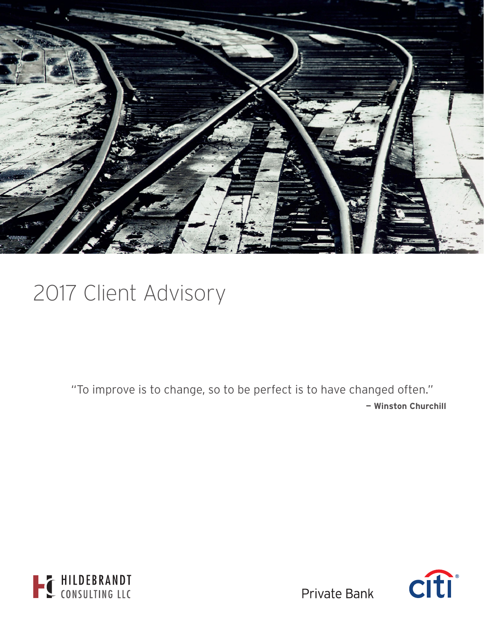

# 2017 Client Advisory

"To improve is to change, so to be perfect is to have changed often." **— Winston Churchill**





**Private Bank**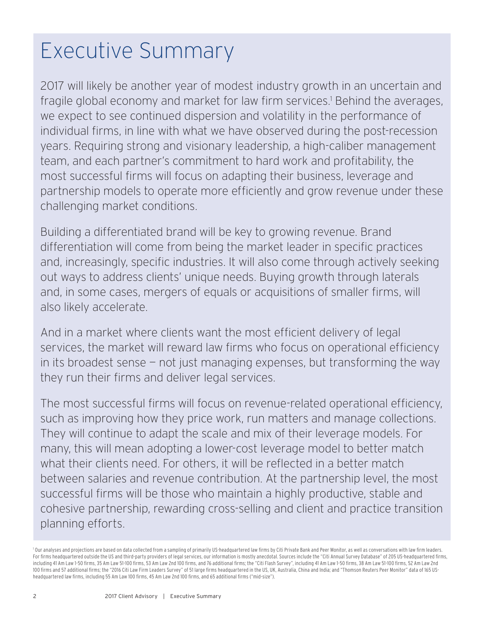# Executive Summary

2017 will likely be another year of modest industry growth in an uncertain and fragile global economy and market for law firm services.<sup>1</sup> Behind the averages, we expect to see continued dispersion and volatility in the performance of individual firms, in line with what we have observed during the post-recession years. Requiring strong and visionary leadership, a high-caliber management team, and each partner's commitment to hard work and profitability, the most successful firms will focus on adapting their business, leverage and partnership models to operate more efficiently and grow revenue under these challenging market conditions.

Building a differentiated brand will be key to growing revenue. Brand differentiation will come from being the market leader in specific practices and, increasingly, specific industries. It will also come through actively seeking out ways to address clients' unique needs. Buying growth through laterals and, in some cases, mergers of equals or acquisitions of smaller firms, will also likely accelerate.

And in a market where clients want the most efficient delivery of legal services, the market will reward law firms who focus on operational efficiency in its broadest sense — not just managing expenses, but transforming the way they run their firms and deliver legal services.

The most successful firms will focus on revenue-related operational efficiency, such as improving how they price work, run matters and manage collections. They will continue to adapt the scale and mix of their leverage models. For many, this will mean adopting a lower-cost leverage model to better match what their clients need. For others, it will be reflected in a better match between salaries and revenue contribution. At the partnership level, the most successful firms will be those who maintain a highly productive, stable and cohesive partnership, rewarding cross-selling and client and practice transition planning efforts.

<sup>&</sup>lt;sup>1</sup> Our analyses and projections are based on data collected from a sampling of primarily US-headquartered law firms by Citi Private Bank and Peer Monitor, as well as conversations with law firm leaders. For firms headquartered outside the US and third-party providers of legal services, our information is mostly anecdotal. Sources include the "Citi Annual Survey Database" of 205 US-headquartered firms, including 41 Am Law 1-50 firms, 35 Am Law 51-100 firms, 53 Am Law 2nd 100 firms, and 76 additional firms; the "Citi Flash Survey", including 41 Am Law 1-50 firms, 38 Am Law 1-50 firms, 52 Am Law 2nd 100 firms and 57 additional firms; the "2016 Citi Law Firm Leaders Survey" of 51 large firms headquartered in the US, UK, Australia, China and India; and "Thomson Reuters Peer Monitor" data of 165 USheadquartered law firms, including 55 Am Law 100 firms, 45 Am Law 2nd 100 firms, and 65 additional firms ("mid-size").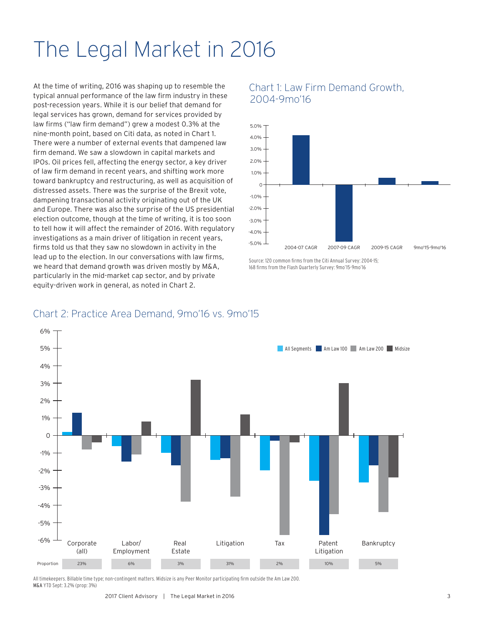# The Legal Market in 2016

At the time of writing, 2016 was shaping up to resemble the typical annual performance of the law firm industry in these post-recession years. While it is our belief that demand for legal services has grown, demand for services provided by law firms ("law firm demand") grew a modest 0.3% at the nine-month point, based on Citi data, as noted in Chart 1. There were a number of external events that dampened law firm demand. We saw a slowdown in capital markets and IPOs. Oil prices fell, affecting the energy sector, a key driver of law firm demand in recent years, and shifting work more toward bankruptcy and restructuring, as well as acquisition of distressed assets. There was the surprise of the Brexit vote, dampening transactional activity originating out of the UK and Europe. There was also the surprise of the US presidential election outcome, though at the time of writing, it is too soon to tell how it will affect the remainder of 2016. With regulatory investigations as a main driver of litigation in recent years, firms told us that they saw no slowdown in activity in the lead up to the election. In our conversations with law firms, we heard that demand growth was driven mostly by M&A, particularly in the mid-market cap sector, and by private equity-driven work in general, as noted in Chart 2.

## Chart 1: Law Firm Demand Growth, 2004-9mo'16



Source: 120 common firms from the Citi Annual Survey: 2004-15; 168 firms from the Flash Quarterly Survey: 9mo'15-9mo'16

### Chart 2: Practice Area Demand, 9mo'16 vs. 9mo'15



All timekeepers. Billable time type; non-contingent matters. Midsize is any Peer Monitor participating firm outside the Am Law 200. M&A YTD Sept: 3.2% (prop: 3%)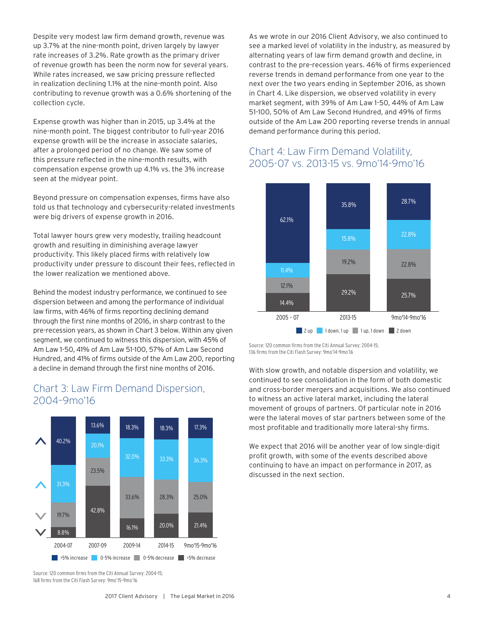Despite very modest law firm demand growth, revenue was up 3.7% at the nine-month point, driven largely by lawyer rate increases of 3.2%. Rate growth as the primary driver of revenue growth has been the norm now for several years. While rates increased, we saw pricing pressure reflected in realization declining 1.1% at the nine-month point. Also contributing to revenue growth was a 0.6% shortening of the collection cycle.

Expense growth was higher than in 2015, up 3.4% at the nine-month point. The biggest contributor to full-year 2016 expense growth will be the increase in associate salaries, after a prolonged period of no change. We saw some of this pressure reflected in the nine-month results, with compensation expense growth up 4.1% vs. the 3% increase seen at the midyear point.

Beyond pressure on compensation expenses, firms have also told us that technology and cybersecurity-related investments were big drivers of expense growth in 2016.

Total lawyer hours grew very modestly, trailing headcount growth and resulting in diminishing average lawyer productivity. This likely placed firms with relatively low productivity under pressure to discount their fees, reflected in the lower realization we mentioned above.

Behind the modest industry performance, we continued to see dispersion between and among the performance of individual law firms, with 46% of firms reporting declining demand through the first nine months of 2016, in sharp contrast to the pre-recession years, as shown in Chart 3 below. Within any given segment, we continued to witness this dispersion, with 45% of Am Law 1-50, 41% of Am Law 51-100, 57% of Am Law Second Hundred, and 41% of firms outside of the Am Law 200, reporting a decline in demand through the first nine months of 2016.

#### 2004-07 2007-09 2009-14 2014-15 9mo'15-9mo'16 40.2% 31.3% 19.7% 8.8% 13.6% 20.1% 23.5% 42.8% 18.3% 32.0% 33.6% 16.1% 18.3% 33.3% 28.3% 20.0% 17.3% 36.3% 25.0% 21.4% >5% increase 0-5% increase 0-5% decrease >5% decrease

Chart 3: Law Firm Demand Dispersion, 2004–9mo'16

Source: 120 common firms from the Citi Annual Survey: 2004-15; 168 firms from the Citi Flash Survey: 9mo'15-9mo'16

As we wrote in our 2016 Client Advisory, we also continued to see a marked level of volatility in the industry, as measured by alternating years of law firm demand growth and decline, in contrast to the pre-recession years. 46% of firms experienced reverse trends in demand performance from one year to the next over the two years ending in September 2016, as shown in Chart 4. Like dispersion, we observed volatility in every market segment, with 39% of Am Law 1-50, 44% of Am Law 51-100, 50% of Am Law Second Hundred, and 49% of firms outside of the Am Law 200 reporting reverse trends in annual demand performance during this period.

## Chart 4: Law Firm Demand Volatility, 2005-07 vs. 2013-15 vs. 9mo'14-9mo'16



Source: 120 common firms from the Citi Annual Survey: 2004-15; 136 firms from the Citi Flash Survey: 9mo'14-9mo'16

With slow growth, and notable dispersion and volatility, we continued to see consolidation in the form of both domestic and cross-border mergers and acquisitions. We also continued to witness an active lateral market, including the lateral movement of groups of partners. Of particular note in 2016 were the lateral moves of star partners between some of the most profitable and traditionally more lateral-shy firms.

We expect that 2016 will be another year of low single-digit profit growth, with some of the events described above continuing to have an impact on performance in 2017, as discussed in the next section.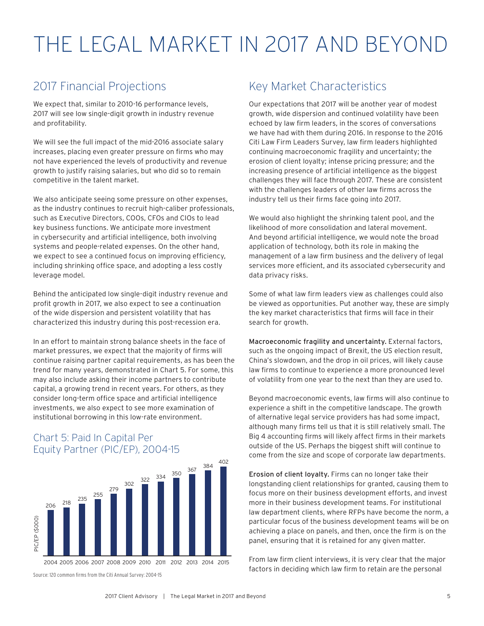# THE LEGAL MARKET IN 2017 AND BEYOND

## 2017 Financial Projections

We expect that, similar to 2010-16 performance levels, 2017 will see low single-digit growth in industry revenue and profitability.

We will see the full impact of the mid-2016 associate salary increases, placing even greater pressure on firms who may not have experienced the levels of productivity and revenue growth to justify raising salaries, but who did so to remain competitive in the talent market.

We also anticipate seeing some pressure on other expenses, as the industry continues to recruit high-caliber professionals, such as Executive Directors, COOs, CFOs and CIOs to lead key business functions. We anticipate more investment in cybersecurity and artificial intelligence, both involving systems and people-related expenses. On the other hand, we expect to see a continued focus on improving efficiency, including shrinking office space, and adopting a less costly leverage model.

Behind the anticipated low single-digit industry revenue and profit growth in 2017, we also expect to see a continuation of the wide dispersion and persistent volatility that has characterized this industry during this post-recession era.

In an effort to maintain strong balance sheets in the face of market pressures, we expect that the majority of firms will continue raising partner capital requirements, as has been the trend for many years, demonstrated in Chart 5. For some, this may also include asking their income partners to contribute capital, a growing trend in recent years. For others, as they consider long-term office space and artificial intelligence investments, we also expect to see more examination of institutional borrowing in this low-rate environment.

## Chart 5: Paid In Capital Per Equity Partner (PIC/EP), 2004-15



Key Market Characteristics

Our expectations that 2017 will be another year of modest growth, wide dispersion and continued volatility have been echoed by law firm leaders, in the scores of conversations we have had with them during 2016. In response to the 2016 Citi Law Firm Leaders Survey, law firm leaders highlighted continuing macroeconomic fragility and uncertainty; the erosion of client loyalty; intense pricing pressure; and the increasing presence of artificial intelligence as the biggest challenges they will face through 2017. These are consistent with the challenges leaders of other law firms across the industry tell us their firms face going into 2017.

We would also highlight the shrinking talent pool, and the likelihood of more consolidation and lateral movement. And beyond artificial intelligence, we would note the broad application of technology, both its role in making the management of a law firm business and the delivery of legal services more efficient, and its associated cybersecurity and data privacy risks.

Some of what law firm leaders view as challenges could also be viewed as opportunities. Put another way, these are simply the key market characteristics that firms will face in their search for growth.

Macroeconomic fragility and uncertainty. External factors, such as the ongoing impact of Brexit, the US election result, China's slowdown, and the drop in oil prices, will likely cause law firms to continue to experience a more pronounced level of volatility from one year to the next than they are used to.

Beyond macroeconomic events, law firms will also continue to experience a shift in the competitive landscape. The growth of alternative legal service providers has had some impact, although many firms tell us that it is still relatively small. The Big 4 accounting firms will likely affect firms in their markets outside of the US. Perhaps the biggest shift will continue to come from the size and scope of corporate law departments.

Erosion of client loyalty. Firms can no longer take their longstanding client relationships for granted, causing them to focus more on their business development efforts, and invest more in their business development teams. For institutional law department clients, where RFPs have become the norm, a particular focus of the business development teams will be on achieving a place on panels, and then, once the firm is on the panel, ensuring that it is retained for any given matter.

From law firm client interviews, it is very clear that the major factors in deciding which law firm to retain are the personal

Source: 120 common firms from the Citi Annual Survey: 2004-15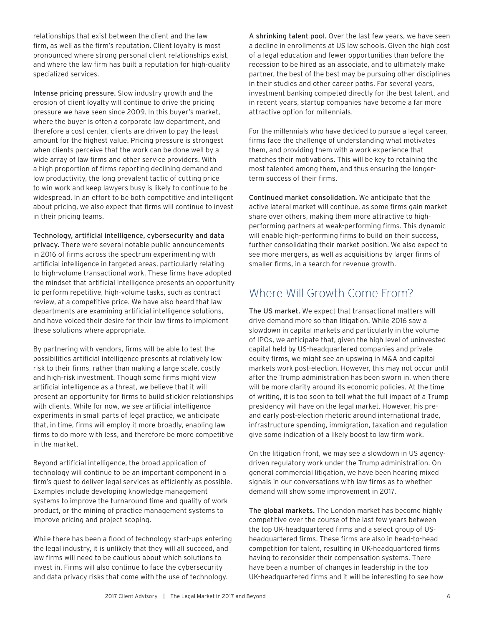relationships that exist between the client and the law firm, as well as the firm's reputation. Client loyalty is most pronounced where strong personal client relationships exist, and where the law firm has built a reputation for high-quality specialized services.

Intense pricing pressure. Slow industry growth and the erosion of client loyalty will continue to drive the pricing pressure we have seen since 2009. In this buyer's market, where the buyer is often a corporate law department, and therefore a cost center, clients are driven to pay the least amount for the highest value. Pricing pressure is strongest when clients perceive that the work can be done well by a wide array of law firms and other service providers. With a high proportion of firms reporting declining demand and low productivity, the long prevalent tactic of cutting price to win work and keep lawyers busy is likely to continue to be widespread. In an effort to be both competitive and intelligent about pricing, we also expect that firms will continue to invest in their pricing teams.

Technology, artificial intelligence, cybersecurity and data privacy. There were several notable public announcements in 2016 of firms across the spectrum experimenting with artificial intelligence in targeted areas, particularly relating to high-volume transactional work. These firms have adopted the mindset that artificial intelligence presents an opportunity to perform repetitive, high-volume tasks, such as contract review, at a competitive price. We have also heard that law departments are examining artificial intelligence solutions, and have voiced their desire for their law firms to implement these solutions where appropriate.

By partnering with vendors, firms will be able to test the possibilities artificial intelligence presents at relatively low risk to their firms, rather than making a large scale, costly and high-risk investment. Though some firms might view artificial intelligence as a threat, we believe that it will present an opportunity for firms to build stickier relationships with clients. While for now, we see artificial intelligence experiments in small parts of legal practice, we anticipate that, in time, firms will employ it more broadly, enabling law firms to do more with less, and therefore be more competitive in the market.

Beyond artificial intelligence, the broad application of technology will continue to be an important component in a firm's quest to deliver legal services as efficiently as possible. Examples include developing knowledge management systems to improve the turnaround time and quality of work product, or the mining of practice management systems to improve pricing and project scoping.

While there has been a flood of technology start-ups entering the legal industry, it is unlikely that they will all succeed, and law firms will need to be cautious about which solutions to invest in. Firms will also continue to face the cybersecurity and data privacy risks that come with the use of technology.

A shrinking talent pool. Over the last few years, we have seen a decline in enrollments at US law schools. Given the high cost of a legal education and fewer opportunities than before the recession to be hired as an associate, and to ultimately make partner, the best of the best may be pursuing other disciplines in their studies and other career paths. For several years, investment banking competed directly for the best talent, and in recent years, startup companies have become a far more attractive option for millennials.

For the millennials who have decided to pursue a legal career, firms face the challenge of understanding what motivates them, and providing them with a work experience that matches their motivations. This will be key to retaining the most talented among them, and thus ensuring the longerterm success of their firms.

Continued market consolidation. We anticipate that the active lateral market will continue, as some firms gain market share over others, making them more attractive to highperforming partners at weak-performing firms. This dynamic will enable high-performing firms to build on their success, further consolidating their market position. We also expect to see more mergers, as well as acquisitions by larger firms of smaller firms, in a search for revenue growth.

## Where Will Growth Come From?

The US market. We expect that transactional matters will drive demand more so than litigation. While 2016 saw a slowdown in capital markets and particularly in the volume of IPOs, we anticipate that, given the high level of uninvested capital held by US-headquartered companies and private equity firms, we might see an upswing in M&A and capital markets work post-election. However, this may not occur until after the Trump administration has been sworn in, when there will be more clarity around its economic policies. At the time of writing, it is too soon to tell what the full impact of a Trump presidency will have on the legal market. However, his preand early post-election rhetoric around international trade, infrastructure spending, immigration, taxation and regulation give some indication of a likely boost to law firm work.

On the litigation front, we may see a slowdown in US agencydriven regulatory work under the Trump administration. On general commercial litigation, we have been hearing mixed signals in our conversations with law firms as to whether demand will show some improvement in 2017.

The global markets. The London market has become highly competitive over the course of the last few years between the top UK-headquartered firms and a select group of USheadquartered firms. These firms are also in head-to-head competition for talent, resulting in UK-headquartered firms having to reconsider their compensation systems. There have been a number of changes in leadership in the top UK-headquartered firms and it will be interesting to see how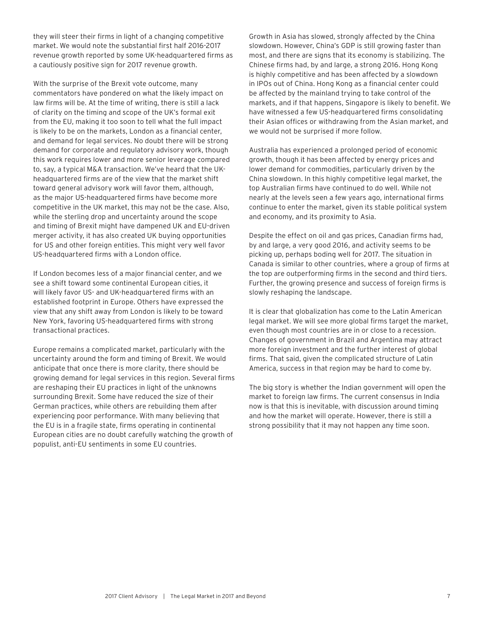they will steer their firms in light of a changing competitive market. We would note the substantial first half 2016-2017 revenue growth reported by some UK-headquartered firms as a cautiously positive sign for 2017 revenue growth.

With the surprise of the Brexit vote outcome, many commentators have pondered on what the likely impact on law firms will be. At the time of writing, there is still a lack of clarity on the timing and scope of the UK's formal exit from the EU, making it too soon to tell what the full impact is likely to be on the markets, London as a financial center, and demand for legal services. No doubt there will be strong demand for corporate and regulatory advisory work, though this work requires lower and more senior leverage compared to, say, a typical M&A transaction. We've heard that the UKheadquartered firms are of the view that the market shift toward general advisory work will favor them, although, as the major US-headquartered firms have become more competitive in the UK market, this may not be the case. Also, while the sterling drop and uncertainty around the scope and timing of Brexit might have dampened UK and EU-driven merger activity, it has also created UK buying opportunities for US and other foreign entities. This might very well favor US-headquartered firms with a London office.

If London becomes less of a major financial center, and we see a shift toward some continental European cities, it will likely favor US- and UK-headquartered firms with an established footprint in Europe. Others have expressed the view that any shift away from London is likely to be toward New York, favoring US-headquartered firms with strong transactional practices.

Europe remains a complicated market, particularly with the uncertainty around the form and timing of Brexit. We would anticipate that once there is more clarity, there should be growing demand for legal services in this region. Several firms are reshaping their EU practices in light of the unknowns surrounding Brexit. Some have reduced the size of their German practices, while others are rebuilding them after experiencing poor performance. With many believing that the EU is in a fragile state, firms operating in continental European cities are no doubt carefully watching the growth of populist, anti-EU sentiments in some EU countries.

Growth in Asia has slowed, strongly affected by the China slowdown. However, China's GDP is still growing faster than most, and there are signs that its economy is stabilizing. The Chinese firms had, by and large, a strong 2016. Hong Kong is highly competitive and has been affected by a slowdown in IPOs out of China. Hong Kong as a financial center could be affected by the mainland trying to take control of the markets, and if that happens, Singapore is likely to benefit. We have witnessed a few US-headquartered firms consolidating their Asian offices or withdrawing from the Asian market, and we would not be surprised if more follow.

Australia has experienced a prolonged period of economic growth, though it has been affected by energy prices and lower demand for commodities, particularly driven by the China slowdown. In this highly competitive legal market, the top Australian firms have continued to do well. While not nearly at the levels seen a few years ago, international firms continue to enter the market, given its stable political system and economy, and its proximity to Asia.

Despite the effect on oil and gas prices, Canadian firms had, by and large, a very good 2016, and activity seems to be picking up, perhaps boding well for 2017. The situation in Canada is similar to other countries, where a group of firms at the top are outperforming firms in the second and third tiers. Further, the growing presence and success of foreign firms is slowly reshaping the landscape.

It is clear that globalization has come to the Latin American legal market. We will see more global firms target the market, even though most countries are in or close to a recession. Changes of government in Brazil and Argentina may attract more foreign investment and the further interest of global firms. That said, given the complicated structure of Latin America, success in that region may be hard to come by.

The big story is whether the Indian government will open the market to foreign law firms. The current consensus in India now is that this is inevitable, with discussion around timing and how the market will operate. However, there is still a strong possibility that it may not happen any time soon.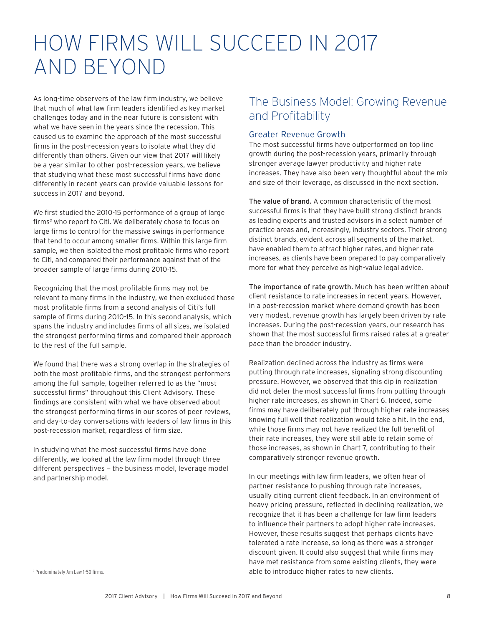## HOW FIRMS WILL SUCCEED IN 2017 AND BEYOND

As long-time observers of the law firm industry, we believe that much of what law firm leaders identified as key market challenges today and in the near future is consistent with what we have seen in the years since the recession. This caused us to examine the approach of the most successful firms in the post-recession years to isolate what they did differently than others. Given our view that 2017 will likely be a year similar to other post-recession years, we believe that studying what these most successful firms have done differently in recent years can provide valuable lessons for success in 2017 and beyond.

We first studied the 2010-15 performance of a group of large firms2 who report to Citi. We deliberately chose to focus on large firms to control for the massive swings in performance that tend to occur among smaller firms. Within this large firm sample, we then isolated the most profitable firms who report to Citi, and compared their performance against that of the broader sample of large firms during 2010-15.

Recognizing that the most profitable firms may not be relevant to many firms in the industry, we then excluded those most profitable firms from a second analysis of Citi's full sample of firms during 2010-15. In this second analysis, which spans the industry and includes firms of all sizes, we isolated the strongest performing firms and compared their approach to the rest of the full sample.

We found that there was a strong overlap in the strategies of both the most profitable firms, and the strongest performers among the full sample, together referred to as the "most successful firms" throughout this Client Advisory. These findings are consistent with what we have observed about the strongest performing firms in our scores of peer reviews, and day-to-day conversations with leaders of law firms in this post-recession market, regardless of firm size.

In studying what the most successful firms have done differently, we looked at the law firm model through three different perspectives — the business model, leverage model and partnership model.

## The Business Model: Growing Revenue and Profitability

### Greater Revenue Growth

The most successful firms have outperformed on top line growth during the post-recession years, primarily through stronger average lawyer productivity and higher rate increases. They have also been very thoughtful about the mix and size of their leverage, as discussed in the next section.

The value of brand. A common characteristic of the most successful firms is that they have built strong distinct brands as leading experts and trusted advisors in a select number of practice areas and, increasingly, industry sectors. Their strong distinct brands, evident across all segments of the market, have enabled them to attract higher rates, and higher rate increases, as clients have been prepared to pay comparatively more for what they perceive as high-value legal advice.

The importance of rate growth. Much has been written about client resistance to rate increases in recent years. However, in a post-recession market where demand growth has been very modest, revenue growth has largely been driven by rate increases. During the post-recession years, our research has shown that the most successful firms raised rates at a greater pace than the broader industry.

Realization declined across the industry as firms were putting through rate increases, signaling strong discounting pressure. However, we observed that this dip in realization did not deter the most successful firms from putting through higher rate increases, as shown in Chart 6. Indeed, some firms may have deliberately put through higher rate increases knowing full well that realization would take a hit. In the end, while those firms may not have realized the full benefit of their rate increases, they were still able to retain some of those increases, as shown in Chart 7, contributing to their comparatively stronger revenue growth.

In our meetings with law firm leaders, we often hear of partner resistance to pushing through rate increases, usually citing current client feedback. In an environment of heavy pricing pressure, reflected in declining realization, we recognize that it has been a challenge for law firm leaders to influence their partners to adopt higher rate increases. However, these results suggest that perhaps clients have tolerated a rate increase, so long as there was a stronger discount given. It could also suggest that while firms may have met resistance from some existing clients, they were able to introduce higher rates to new clients. <sup>2</sup>

<sup>2</sup> Predominately Am Law 1-50 firms.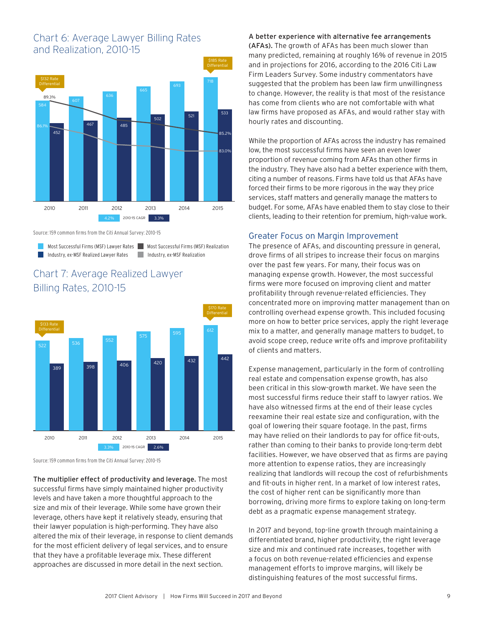## Chart 6: Average Lawyer Billing Rates and Realization, 2010-15



Source: 159 common firms from the Citi Annual Survey: 2010-15

Most Successful Firms (MSF) Lawyer Rates Most Successful Firms (MSF) Realization Industry, ex-MSF Realized Lawyer Rates

Industry, ex-MSF Realization

## Chart 7: Average Realized Lawyer Billing Rates, 2010-15



Source: 159 common firms from the Citi Annual Survey: 2010-15

The multiplier effect of productivity and leverage. The most successful firms have simply maintained higher productivity levels and have taken a more thoughtful approach to the size and mix of their leverage. While some have grown their leverage, others have kept it relatively steady, ensuring that their lawyer population is high-performing. They have also altered the mix of their leverage, in response to client demands for the most efficient delivery of legal services, and to ensure that they have a profitable leverage mix. These different approaches are discussed in more detail in the next section.

### A better experience with alternative fee arrangements

(AFAs). The growth of AFAs has been much slower than many predicted, remaining at roughly 16% of revenue in 2015 and in projections for 2016, according to the 2016 Citi Law Firm Leaders Survey. Some industry commentators have suggested that the problem has been law firm unwillingness to change. However, the reality is that most of the resistance has come from clients who are not comfortable with what law firms have proposed as AFAs, and would rather stay with hourly rates and discounting.

While the proportion of AFAs across the industry has remained low, the most successful firms have seen an even lower proportion of revenue coming from AFAs than other firms in the industry. They have also had a better experience with them, citing a number of reasons. Firms have told us that AFAs have forced their firms to be more rigorous in the way they price services, staff matters and generally manage the matters to budget. For some, AFAs have enabled them to stay close to their clients, leading to their retention for premium, high-value work.

### Greater Focus on Margin Improvement

The presence of AFAs, and discounting pressure in general, drove firms of all stripes to increase their focus on margins over the past few years. For many, their focus was on managing expense growth. However, the most successful firms were more focused on improving client and matter profitability through revenue-related efficiencies. They concentrated more on improving matter management than on controlling overhead expense growth. This included focusing more on how to better price services, apply the right leverage mix to a matter, and generally manage matters to budget, to avoid scope creep, reduce write offs and improve profitability of clients and matters.

Expense management, particularly in the form of controlling real estate and compensation expense growth, has also been critical in this slow-growth market. We have seen the most successful firms reduce their staff to lawyer ratios. We have also witnessed firms at the end of their lease cycles reexamine their real estate size and configuration, with the goal of lowering their square footage. In the past, firms may have relied on their landlords to pay for office fit-outs, rather than coming to their banks to provide long-term debt facilities. However, we have observed that as firms are paying more attention to expense ratios, they are increasingly realizing that landlords will recoup the cost of refurbishments and fit-outs in higher rent. In a market of low interest rates, the cost of higher rent can be significantly more than borrowing, driving more firms to explore taking on long-term debt as a pragmatic expense management strategy.

In 2017 and beyond, top-line growth through maintaining a differentiated brand, higher productivity, the right leverage size and mix and continued rate increases, together with a focus on both revenue-related efficiencies and expense management efforts to improve margins, will likely be distinguishing features of the most successful firms.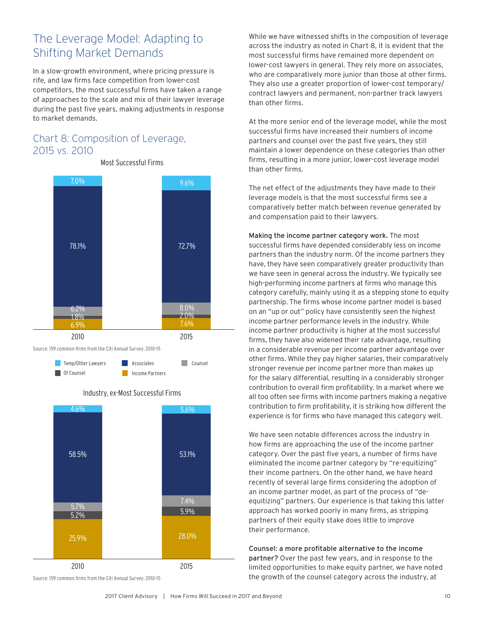## The Leverage Model: Adapting to Shifting Market Demands

In a slow-growth environment, where pricing pressure is rife, and law firms face competition from lower-cost competitors, the most successful firms have taken a range of approaches to the scale and mix of their lawyer leverage during the past five years, making adjustments in response to market demands.

## Chart 8: Composition of Leverage, 2015 vs. 2010



**Associates** Counsel

**Income Partners** 

Most Successful Firms



Source: 159 common firms from the Citi Annual Survey: 2010-15

**Temp/Other Lawyers** Of Counsel

While we have witnessed shifts in the composition of leverage across the industry as noted in Chart 8, it is evident that the most successful firms have remained more dependent on lower-cost lawyers in general. They rely more on associates, who are comparatively more junior than those at other firms. They also use a greater proportion of lower-cost temporary/ contract lawyers and permanent, non-partner track lawyers than other firms.

At the more senior end of the leverage model, while the most successful firms have increased their numbers of income partners and counsel over the past five years, they still maintain a lower dependence on these categories than other firms, resulting in a more junior, lower-cost leverage model than other firms.

The net effect of the adjustments they have made to their leverage models is that the most successful firms see a comparatively better match between revenue generated by and compensation paid to their lawyers.

Making the income partner category work. The most successful firms have depended considerably less on income partners than the industry norm. Of the income partners they have, they have seen comparatively greater productivity than we have seen in general across the industry. We typically see high-performing income partners at firms who manage this category carefully, mainly using it as a stepping stone to equity partnership. The firms whose income partner model is based on an "up or out" policy have consistently seen the highest income partner performance levels in the industry. While income partner productivity is higher at the most successful firms, they have also widened their rate advantage, resulting in a considerable revenue per income partner advantage over other firms. While they pay higher salaries, their comparatively stronger revenue per income partner more than makes up for the salary differential, resulting in a considerably stronger contribution to overall firm profitability. In a market where we all too often see firms with income partners making a negative contribution to firm profitability, it is striking how different the experience is for firms who have managed this category well.

We have seen notable differences across the industry in how firms are approaching the use of the income partner category. Over the past five years, a number of firms have eliminated the income partner category by "re-equitizing" their income partners. On the other hand, we have heard recently of several large firms considering the adoption of an income partner model, as part of the process of "deequitizing" partners. Our experience is that taking this latter approach has worked poorly in many firms, as stripping partners of their equity stake does little to improve their performance.

Counsel: a more profitable alternative to the income partner? Over the past few years, and in response to the limited opportunities to make equity partner, we have noted the growth of the counsel category across the industry, at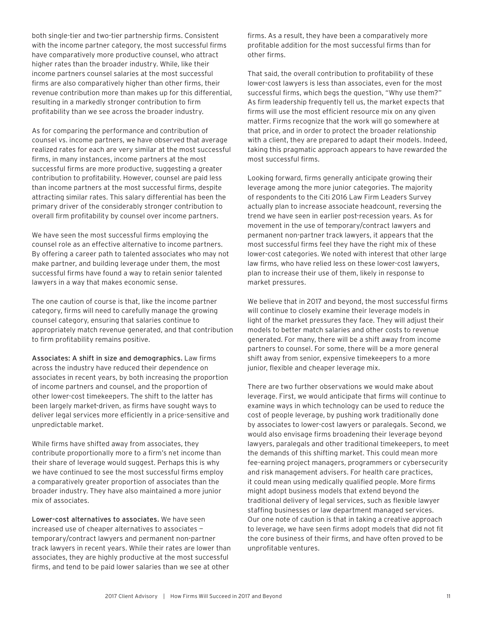both single-tier and two-tier partnership firms. Consistent with the income partner category, the most successful firms have comparatively more productive counsel, who attract higher rates than the broader industry. While, like their income partners counsel salaries at the most successful firms are also comparatively higher than other firms, their revenue contribution more than makes up for this differential, resulting in a markedly stronger contribution to firm profitability than we see across the broader industry.

As for comparing the performance and contribution of counsel vs. income partners, we have observed that average realized rates for each are very similar at the most successful firms, in many instances, income partners at the most successful firms are more productive, suggesting a greater contribution to profitability. However, counsel are paid less than income partners at the most successful firms, despite attracting similar rates. This salary differential has been the primary driver of the considerably stronger contribution to overall firm profitability by counsel over income partners.

We have seen the most successful firms employing the counsel role as an effective alternative to income partners. By offering a career path to talented associates who may not make partner, and building leverage under them, the most successful firms have found a way to retain senior talented lawyers in a way that makes economic sense.

The one caution of course is that, like the income partner category, firms will need to carefully manage the growing counsel category, ensuring that salaries continue to appropriately match revenue generated, and that contribution to firm profitability remains positive.

Associates: A shift in size and demographics. Law firms across the industry have reduced their dependence on associates in recent years, by both increasing the proportion of income partners and counsel, and the proportion of other lower-cost timekeepers. The shift to the latter has been largely market-driven, as firms have sought ways to deliver legal services more efficiently in a price-sensitive and unpredictable market.

While firms have shifted away from associates, they contribute proportionally more to a firm's net income than their share of leverage would suggest. Perhaps this is why we have continued to see the most successful firms employ a comparatively greater proportion of associates than the broader industry. They have also maintained a more junior mix of associates.

Lower-cost alternatives to associates. We have seen increased use of cheaper alternatives to associates temporary/contract lawyers and permanent non-partner track lawyers in recent years. While their rates are lower than associates, they are highly productive at the most successful firms, and tend to be paid lower salaries than we see at other

firms. As a result, they have been a comparatively more profitable addition for the most successful firms than for other firms.

That said, the overall contribution to profitability of these lower-cost lawyers is less than associates, even for the most successful firms, which begs the question, "Why use them?" As firm leadership frequently tell us, the market expects that firms will use the most efficient resource mix on any given matter. Firms recognize that the work will go somewhere at that price, and in order to protect the broader relationship with a client, they are prepared to adapt their models. Indeed, taking this pragmatic approach appears to have rewarded the most successful firms.

Looking forward, firms generally anticipate growing their leverage among the more junior categories. The majority of respondents to the Citi 2016 Law Firm Leaders Survey actually plan to increase associate headcount, reversing the trend we have seen in earlier post-recession years. As for movement in the use of temporary/contract lawyers and permanent non-partner track lawyers, it appears that the most successful firms feel they have the right mix of these lower-cost categories. We noted with interest that other large law firms, who have relied less on these lower-cost lawyers, plan to increase their use of them, likely in response to market pressures.

We believe that in 2017 and beyond, the most successful firms will continue to closely examine their leverage models in light of the market pressures they face. They will adjust their models to better match salaries and other costs to revenue generated. For many, there will be a shift away from income partners to counsel. For some, there will be a more general shift away from senior, expensive timekeepers to a more junior, flexible and cheaper leverage mix.

There are two further observations we would make about leverage. First, we would anticipate that firms will continue to examine ways in which technology can be used to reduce the cost of people leverage, by pushing work traditionally done by associates to lower-cost lawyers or paralegals. Second, we would also envisage firms broadening their leverage beyond lawyers, paralegals and other traditional timekeepers, to meet the demands of this shifting market. This could mean more fee-earning project managers, programmers or cybersecurity and risk management advisers. For health care practices, it could mean using medically qualified people. More firms might adopt business models that extend beyond the traditional delivery of legal services, such as flexible lawyer staffing businesses or law department managed services. Our one note of caution is that in taking a creative approach to leverage, we have seen firms adopt models that did not fit the core business of their firms, and have often proved to be unprofitable ventures.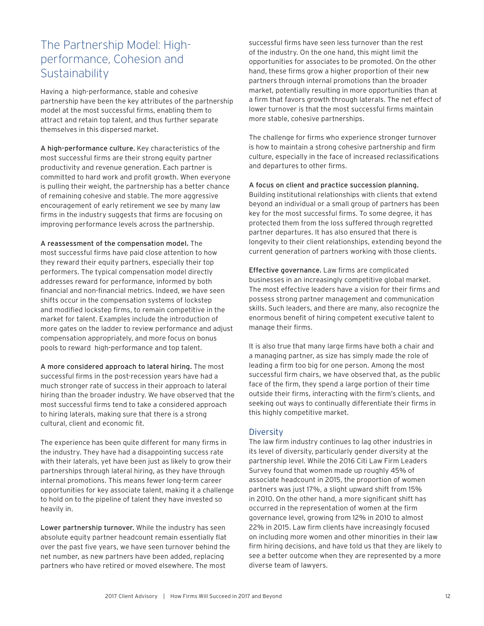## The Partnership Model: Highperformance, Cohesion and **Sustainability**

Having a high-performance, stable and cohesive partnership have been the key attributes of the partnership model at the most successful firms, enabling them to attract and retain top talent, and thus further separate themselves in this dispersed market.

A high-performance culture. Key characteristics of the most successful firms are their strong equity partner productivity and revenue generation. Each partner is committed to hard work and profit growth. When everyone is pulling their weight, the partnership has a better chance of remaining cohesive and stable. The more aggressive encouragement of early retirement we see by many law firms in the industry suggests that firms are focusing on improving performance levels across the partnership.

A reassessment of the compensation model. The most successful firms have paid close attention to how they reward their equity partners, especially their top performers. The typical compensation model directly addresses reward for performance, informed by both financial and non-financial metrics. Indeed, we have seen shifts occur in the compensation systems of lockstep and modified lockstep firms, to remain competitive in the market for talent. Examples include the introduction of more gates on the ladder to review performance and adjust compensation appropriately, and more focus on bonus pools to reward high-performance and top talent.

A more considered approach to lateral hiring. The most successful firms in the post-recession years have had a much stronger rate of success in their approach to lateral hiring than the broader industry. We have observed that the most successful firms tend to take a considered approach to hiring laterals, making sure that there is a strong cultural, client and economic fit.

The experience has been quite different for many firms in the industry. They have had a disappointing success rate with their laterals, yet have been just as likely to grow their partnerships through lateral hiring, as they have through internal promotions. This means fewer long-term career opportunities for key associate talent, making it a challenge to hold on to the pipeline of talent they have invested so heavily in.

Lower partnership turnover. While the industry has seen absolute equity partner headcount remain essentially flat over the past five years, we have seen turnover behind the net number, as new partners have been added, replacing partners who have retired or moved elsewhere. The most

successful firms have seen less turnover than the rest of the industry. On the one hand, this might limit the opportunities for associates to be promoted. On the other hand, these firms grow a higher proportion of their new partners through internal promotions than the broader market, potentially resulting in more opportunities than at a firm that favors growth through laterals. The net effect of lower turnover is that the most successful firms maintain more stable, cohesive partnerships.

The challenge for firms who experience stronger turnover is how to maintain a strong cohesive partnership and firm culture, especially in the face of increased reclassifications and departures to other firms.

A focus on client and practice succession planning.

Building institutional relationships with clients that extend beyond an individual or a small group of partners has been key for the most successful firms. To some degree, it has protected them from the loss suffered through regretted partner departures. It has also ensured that there is longevity to their client relationships, extending beyond the current generation of partners working with those clients.

Effective governance. Law firms are complicated businesses in an increasingly competitive global market. The most effective leaders have a vision for their firms and possess strong partner management and communication skills. Such leaders, and there are many, also recognize the enormous benefit of hiring competent executive talent to manage their firms.

It is also true that many large firms have both a chair and a managing partner, as size has simply made the role of leading a firm too big for one person. Among the most successful firm chairs, we have observed that, as the public face of the firm, they spend a large portion of their time outside their firms, interacting with the firm's clients, and seeking out ways to continually differentiate their firms in this highly competitive market.

### **Diversity**

The law firm industry continues to lag other industries in its level of diversity, particularly gender diversity at the partnership level. While the 2016 Citi Law Firm Leaders Survey found that women made up roughly 45% of associate headcount in 2015, the proportion of women partners was just 17%, a slight upward shift from 15% in 2010. On the other hand, a more significant shift has occurred in the representation of women at the firm governance level, growing from 12% in 2010 to almost 22% in 2015. Law firm clients have increasingly focused on including more women and other minorities in their law firm hiring decisions, and have told us that they are likely to see a better outcome when they are represented by a more diverse team of lawyers.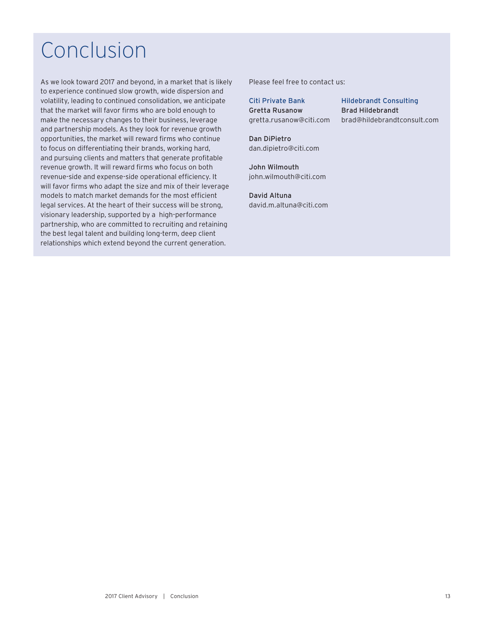## Conclusion

As we look toward 2017 and beyond, in a market that is likely to experience continued slow growth, wide dispersion and volatility, leading to continued consolidation, we anticipate that the market will favor firms who are bold enough to make the necessary changes to their business, leverage and partnership models. As they look for revenue growth opportunities, the market will reward firms who continue to focus on differentiating their brands, working hard, and pursuing clients and matters that generate profitable revenue growth. It will reward firms who focus on both revenue-side and expense-side operational efficiency. It will favor firms who adapt the size and mix of their leverage models to match market demands for the most efficient legal services. At the heart of their success will be strong, visionary leadership, supported by a high-performance partnership, who are committed to recruiting and retaining the best legal talent and building long-term, deep client relationships which extend beyond the current generation.

Please feel free to contact us:

Citi Private Bank Hildebrandt Consulting Gretta Rusanow Brad Hildebrandt

gretta.rusanow@citi.com brad@hildebrandtconsult.com

Dan DiPietro dan.dipietro@citi.com

John Wilmouth john.wilmouth@citi.com

David Altuna david.m.altuna@citi.com